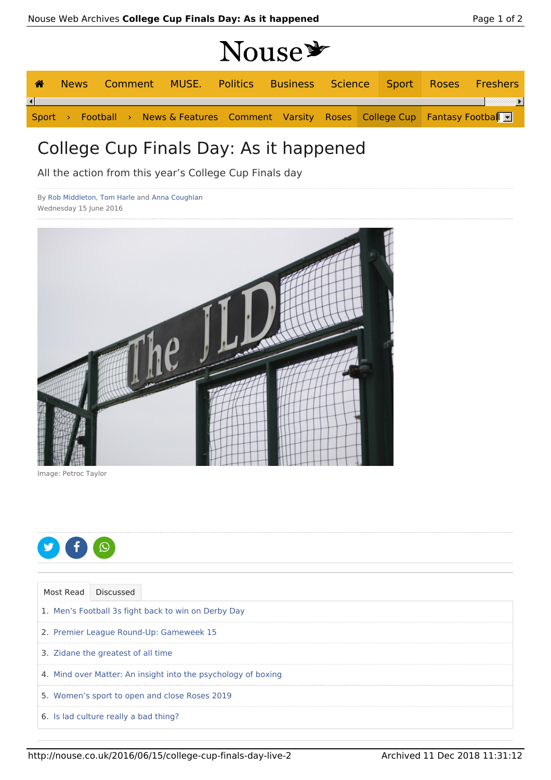## Nouse

| ☎                      |  |  |  |                                                                                                             |  |  | News Comment MUSE. Politics Business Science Sport Roses Freshers |
|------------------------|--|--|--|-------------------------------------------------------------------------------------------------------------|--|--|-------------------------------------------------------------------|
| $\left  \cdot \right $ |  |  |  |                                                                                                             |  |  |                                                                   |
|                        |  |  |  | Sport > Football > News & Features Comment Varsity Roses College Cup Fantasy Football $\blacktriangleright$ |  |  |                                                                   |

## College Cup Finals Day: As it happened

All the action from this year's College Cup Finals day

By Rob Middleton, Tom Harle and Anna Coughlan Wednesday 15 June 2016



Image: Petroc Taylor



|  | Most Read Discussed                                           |
|--|---------------------------------------------------------------|
|  | 1. Men's Football 3s fight back to win on Derby Day           |
|  | 2. Premier League Round-Up: Gameweek 15                       |
|  | 3. Zidane the greatest of all time                            |
|  | 4. Mind over Matter: An insight into the psychology of boxing |
|  | 5. Women's sport to open and close Roses 2019                 |
|  | 6. Is lad culture really a bad thing?                         |